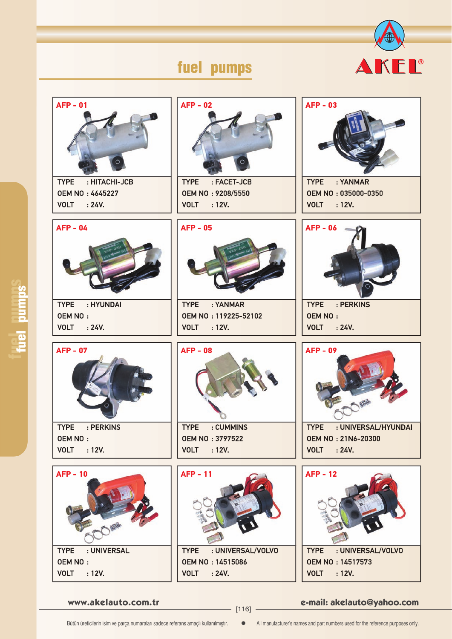

## fuel pumps

| <b>AFP - 01</b>                                                                     | $AFP - 02$                                                                                             | $AFP - 03$                                                                                                 |
|-------------------------------------------------------------------------------------|--------------------------------------------------------------------------------------------------------|------------------------------------------------------------------------------------------------------------|
| <b>TYPE</b>                                                                         | <b>TYPE</b>                                                                                            | : YANMAR                                                                                                   |
| : HITACHI-JCB                                                                       | : FACET-JCB                                                                                            | <b>TYPE</b>                                                                                                |
| <b>OEM NO: 4645227</b>                                                              | OEM NO: 9208/5550                                                                                      | OEM NO: 035000-0350                                                                                        |
| <b>VOLT</b> : 24V.                                                                  | <b>VOLT</b> : 12V.                                                                                     | <b>VOLT</b> : 12V.                                                                                         |
| $AFP - 04$<br>: HYUNDAI<br><b>TYPE</b><br><b>OEM NO:</b><br><b>VOLT</b><br>: 24V.   | <b>AFP - 05</b><br>: YANMAR<br><b>TYPE</b><br>OEM NO: 119225-52102<br><b>VOLT</b><br>$\therefore$ 12V. | <b>AFP - 06</b><br>: PERKINS<br><b>TYPE</b><br><b>OEM NO:</b><br><b>VOLT</b> : 24V.                        |
| <b>AFP - 07</b><br><b>TYPE</b><br>: PERKINS<br><b>OEM NO:</b><br><b>VOLT</b> : 12V. | <b>AFP - 08</b><br><b>TYPE</b><br>: CUMMINS<br><b>OEM NO: 3797522</b><br><b>VOLT</b><br>: 12V.         | <b>AFP - 09</b><br><b>TYPE</b><br>: UNIVERSAL/HYUNDAI<br><b>OEM NO: 21N6-20300</b><br><b>VOLT</b><br>:24V. |
| <b>AFP - 10</b>                                                                     | <b>AFP - 11</b>                                                                                        | <b>AFP - 12</b>                                                                                            |
| <b>TYPE</b>                                                                         | : UNIVERSAL/VOLVO                                                                                      | : UNIVERSAL/VOLVO                                                                                          |
| : UNIVERSAL                                                                         | <b>TYPE</b>                                                                                            | <b>TYPE</b>                                                                                                |
| <b>OEM NO:</b>                                                                      | <b>OEM NO: 14515086</b>                                                                                | <b>OEM NO: 14517573</b>                                                                                    |
| <b>VOLT</b>                                                                         | <b>VOLT</b>                                                                                            | <b>VOLT</b>                                                                                                |
| : 12V.                                                                              | :24V.                                                                                                  | : 12V.                                                                                                     |

fuel pumps<sup>s</sup>

**www.akelauto.com.tr e-mail: akelauto@yahoo.com** [116]

Bütün üreticilerin isim ve parça numaraları sadece referans amaçlı kullanılmıştır.  $\bullet$  All manufacturer's names and part numbers used for the reference purposes only.